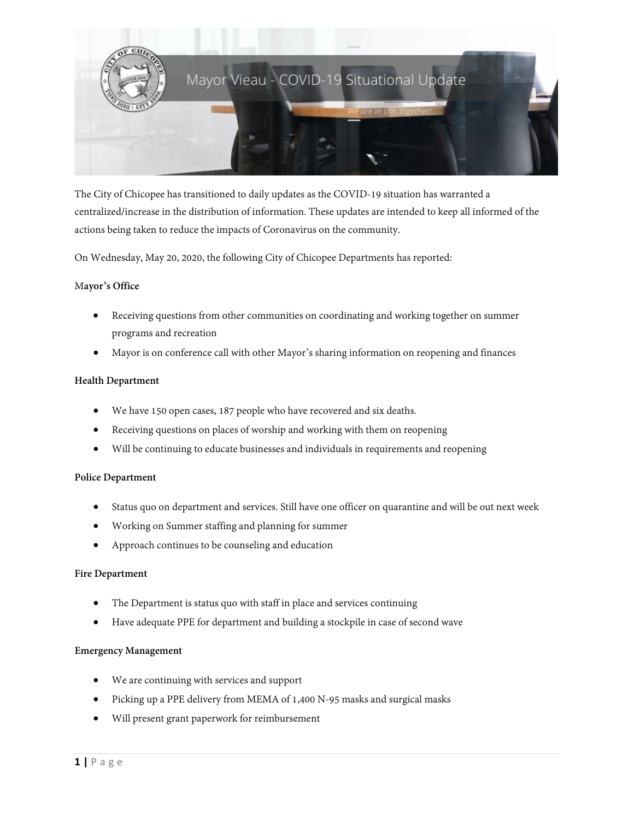

The City of Chicopee has transitioned to daily updates as the COVID-19 situation has warranted a centralized/increase in the distribution of information. These updates are intended to keep all informed of the actions being taken to reduce the impacts of Coronavirus on the community.

On Wednesday, May 20, 2020, the following City of Chicopee Departments has reported:

## M**ayor's Office**

- Receiving questions from other communities on coordinating and working together on summer programs and recreation
- Mayor is on conference call with other Mayor's sharing information on reopening and finances

#### **Health Department**

- We have 150 open cases, 187 people who have recovered and six deaths.
- Receiving questions on places of worship and working with them on reopening
- Will be continuing to educate businesses and individuals in requirements and reopening

#### **Police Department**

- Status quo on department and services. Still have one officer on quarantine and will be out next week
- Working on Summer staffing and planning for summer
- Approach continues to be counseling and education

#### **Fire Department**

- The Department is status quo with staff in place and services continuing
- Have adequate PPE for department and building a stockpile in case of second wave

#### **Emergency Management**

- We are continuing with services and support
- Picking up a PPE delivery from MEMA of 1,400 N-95 masks and surgical masks
- Will present grant paperwork for reimbursement